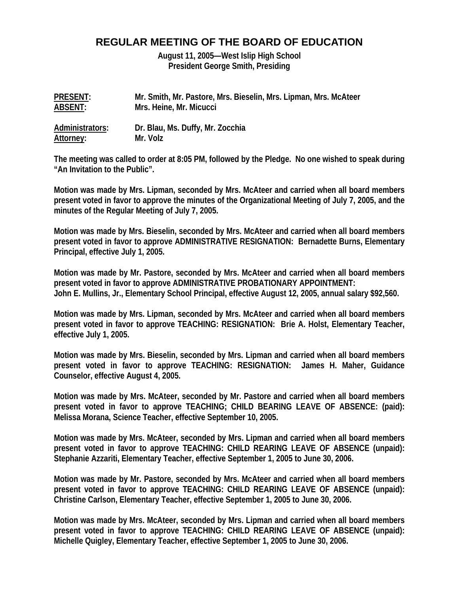# **REGULAR MEETING OF THE BOARD OF EDUCATION**

**August 11, 2005—West Islip High School President George Smith, Presiding** 

| <b>PRESENT:</b> | Mr. Smith, Mr. Pastore, Mrs. Bieselin, Mrs. Lipman, Mrs. McAteer |
|-----------------|------------------------------------------------------------------|
| ABSENT:         | Mrs. Heine, Mr. Micucci                                          |
| Administrators: | Dr. Blau, Ms. Duffy, Mr. Zocchia                                 |
| Attorney:       | Mr. Volz                                                         |

**The meeting was called to order at 8:05 PM, followed by the Pledge. No one wished to speak during "An Invitation to the Public".** 

**Motion was made by Mrs. Lipman, seconded by Mrs. McAteer and carried when all board members present voted in favor to approve the minutes of the Organizational Meeting of July 7, 2005, and the minutes of the Regular Meeting of July 7, 2005.** 

**Motion was made by Mrs. Bieselin, seconded by Mrs. McAteer and carried when all board members present voted in favor to approve ADMINISTRATIVE RESIGNATION: Bernadette Burns, Elementary Principal, effective July 1, 2005.** 

**Motion was made by Mr. Pastore, seconded by Mrs. McAteer and carried when all board members present voted in favor to approve ADMINISTRATIVE PROBATIONARY APPOINTMENT: John E. Mullins, Jr., Elementary School Principal, effective August 12, 2005, annual salary \$92,560.** 

**Motion was made by Mrs. Lipman, seconded by Mrs. McAteer and carried when all board members present voted in favor to approve TEACHING: RESIGNATION: Brie A. Holst, Elementary Teacher, effective July 1, 2005.** 

**Motion was made by Mrs. Bieselin, seconded by Mrs. Lipman and carried when all board members present voted in favor to approve TEACHING: RESIGNATION: James H. Maher, Guidance Counselor, effective August 4, 2005.** 

**Motion was made by Mrs. McAteer, seconded by Mr. Pastore and carried when all board members present voted in favor to approve TEACHING; CHILD BEARING LEAVE OF ABSENCE: (paid): Melissa Morana, Science Teacher, effective September 10, 2005.** 

**Motion was made by Mrs. McAteer, seconded by Mrs. Lipman and carried when all board members present voted in favor to approve TEACHING: CHILD REARING LEAVE OF ABSENCE (unpaid): Stephanie Azzariti, Elementary Teacher, effective September 1, 2005 to June 30, 2006.** 

**Motion was made by Mr. Pastore, seconded by Mrs. McAteer and carried when all board members present voted in favor to approve TEACHING: CHILD REARING LEAVE OF ABSENCE (unpaid): Christine Carlson, Elementary Teacher, effective September 1, 2005 to June 30, 2006.** 

**Motion was made by Mrs. McAteer, seconded by Mrs. Lipman and carried when all board members present voted in favor to approve TEACHING: CHILD REARING LEAVE OF ABSENCE (unpaid): Michelle Quigley, Elementary Teacher, effective September 1, 2005 to June 30, 2006.**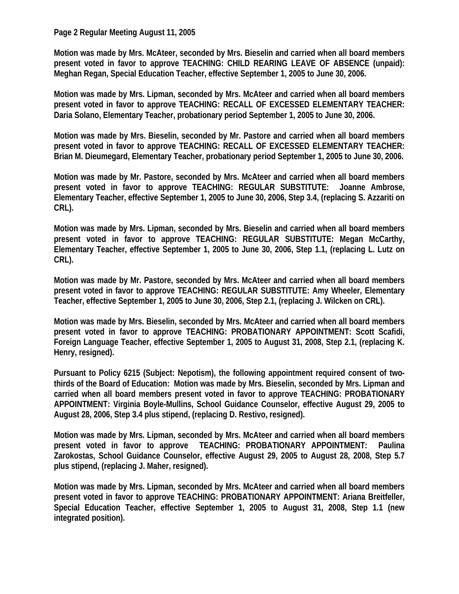## **Page 2 Regular Meeting August 11, 2005**

**Motion was made by Mrs. McAteer, seconded by Mrs. Bieselin and carried when all board members present voted in favor to approve TEACHING: CHILD REARING LEAVE OF ABSENCE (unpaid): Meghan Regan, Special Education Teacher, effective September 1, 2005 to June 30, 2006.** 

**Motion was made by Mrs. Lipman, seconded by Mrs. McAteer and carried when all board members present voted in favor to approve TEACHING: RECALL OF EXCESSED ELEMENTARY TEACHER: Daria Solano, Elementary Teacher, probationary period September 1, 2005 to June 30, 2006.** 

**Motion was made by Mrs. Bieselin, seconded by Mr. Pastore and carried when all board members present voted in favor to approve TEACHING: RECALL OF EXCESSED ELEMENTARY TEACHER: Brian M. Dieumegard, Elementary Teacher, probationary period September 1, 2005 to June 30, 2006.** 

**Motion was made by Mr. Pastore, seconded by Mrs. McAteer and carried when all board members present voted in favor to approve TEACHING: REGULAR SUBSTITUTE: Joanne Ambrose, Elementary Teacher, effective September 1, 2005 to June 30, 2006, Step 3.4, (replacing S. Azzariti on CRL).** 

**Motion was made by Mrs. Lipman, seconded by Mrs. Bieselin and carried when all board members present voted in favor to approve TEACHING: REGULAR SUBSTITUTE: Megan McCarthy, Elementary Teacher, effective September 1, 2005 to June 30, 2006, Step 1.1, (replacing L. Lutz on CRL).** 

**Motion was made by Mr. Pastore, seconded by Mrs. McAteer and carried when all board members present voted in favor to approve TEACHING: REGULAR SUBSTITUTE: Amy Wheeler, Elementary Teacher, effective September 1, 2005 to June 30, 2006, Step 2.1, (replacing J. Wilcken on CRL).** 

**Motion was made by Mrs. Bieselin, seconded by Mrs. McAteer and carried when all board members present voted in favor to approve TEACHING: PROBATIONARY APPOINTMENT: Scott Scafidi, Foreign Language Teacher, effective September 1, 2005 to August 31, 2008, Step 2.1, (replacing K. Henry, resigned).** 

**Pursuant to Policy 6215 (Subject: Nepotism), the following appointment required consent of twothirds of the Board of Education: Motion was made by Mrs. Bieselin, seconded by Mrs. Lipman and carried when all board members present voted in favor to approve TEACHING: PROBATIONARY APPOINTMENT: Virginia Boyle-Mullins, School Guidance Counselor, effective August 29, 2005 to August 28, 2006, Step 3.4 plus stipend, (replacing D. Restivo, resigned).** 

**Motion was made by Mrs. Lipman, seconded by Mrs. McAteer and carried when all board members present voted in favor to approve TEACHING: PROBATIONARY APPOINTMENT: Paulina Zarokostas, School Guidance Counselor, effective August 29, 2005 to August 28, 2008, Step 5.7 plus stipend, (replacing J. Maher, resigned).** 

**Motion was made by Mrs. Lipman, seconded by Mrs. McAteer and carried when all board members present voted in favor to approve TEACHING: PROBATIONARY APPOINTMENT: Ariana Breitfeller, Special Education Teacher, effective September 1, 2005 to August 31, 2008, Step 1.1 (new integrated position).**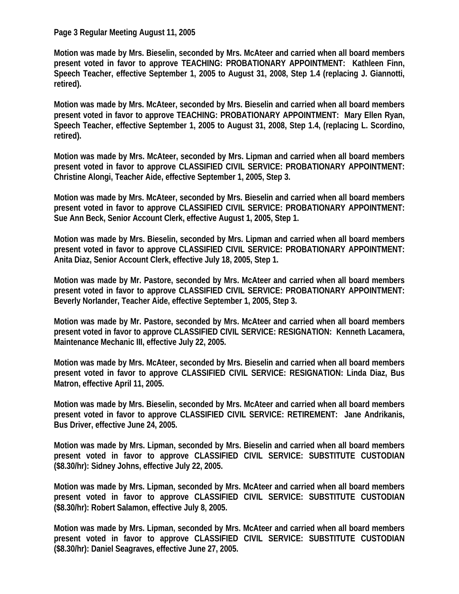#### **Page 3 Regular Meeting August 11, 2005**

**Motion was made by Mrs. Bieselin, seconded by Mrs. McAteer and carried when all board members present voted in favor to approve TEACHING: PROBATIONARY APPOINTMENT: Kathleen Finn, Speech Teacher, effective September 1, 2005 to August 31, 2008, Step 1.4 (replacing J. Giannotti, retired).** 

**Motion was made by Mrs. McAteer, seconded by Mrs. Bieselin and carried when all board members present voted in favor to approve TEACHING: PROBATIONARY APPOINTMENT: Mary Ellen Ryan, Speech Teacher, effective September 1, 2005 to August 31, 2008, Step 1.4, (replacing L. Scordino, retired).** 

**Motion was made by Mrs. McAteer, seconded by Mrs. Lipman and carried when all board members present voted in favor to approve CLASSIFIED CIVIL SERVICE: PROBATIONARY APPOINTMENT: Christine Alongi, Teacher Aide, effective September 1, 2005, Step 3.** 

**Motion was made by Mrs. McAteer, seconded by Mrs. Bieselin and carried when all board members present voted in favor to approve CLASSIFIED CIVIL SERVICE: PROBATIONARY APPOINTMENT: Sue Ann Beck, Senior Account Clerk, effective August 1, 2005, Step 1.** 

**Motion was made by Mrs. Bieselin, seconded by Mrs. Lipman and carried when all board members present voted in favor to approve CLASSIFIED CIVIL SERVICE: PROBATIONARY APPOINTMENT: Anita Diaz, Senior Account Clerk, effective July 18, 2005, Step 1.** 

**Motion was made by Mr. Pastore, seconded by Mrs. McAteer and carried when all board members present voted in favor to approve CLASSIFIED CIVIL SERVICE: PROBATIONARY APPOINTMENT: Beverly Norlander, Teacher Aide, effective September 1, 2005, Step 3.** 

**Motion was made by Mr. Pastore, seconded by Mrs. McAteer and carried when all board members present voted in favor to approve CLASSIFIED CIVIL SERVICE: RESIGNATION: Kenneth Lacamera, Maintenance Mechanic III, effective July 22, 2005.** 

**Motion was made by Mrs. McAteer, seconded by Mrs. Bieselin and carried when all board members present voted in favor to approve CLASSIFIED CIVIL SERVICE: RESIGNATION: Linda Diaz, Bus Matron, effective April 11, 2005.** 

**Motion was made by Mrs. Bieselin, seconded by Mrs. McAteer and carried when all board members present voted in favor to approve CLASSIFIED CIVIL SERVICE: RETIREMENT: Jane Andrikanis, Bus Driver, effective June 24, 2005.** 

**Motion was made by Mrs. Lipman, seconded by Mrs. Bieselin and carried when all board members present voted in favor to approve CLASSIFIED CIVIL SERVICE: SUBSTITUTE CUSTODIAN (\$8.30/hr): Sidney Johns, effective July 22, 2005.** 

**Motion was made by Mrs. Lipman, seconded by Mrs. McAteer and carried when all board members present voted in favor to approve CLASSIFIED CIVIL SERVICE: SUBSTITUTE CUSTODIAN (\$8.30/hr): Robert Salamon, effective July 8, 2005.** 

**Motion was made by Mrs. Lipman, seconded by Mrs. McAteer and carried when all board members present voted in favor to approve CLASSIFIED CIVIL SERVICE: SUBSTITUTE CUSTODIAN (\$8.30/hr): Daniel Seagraves, effective June 27, 2005.**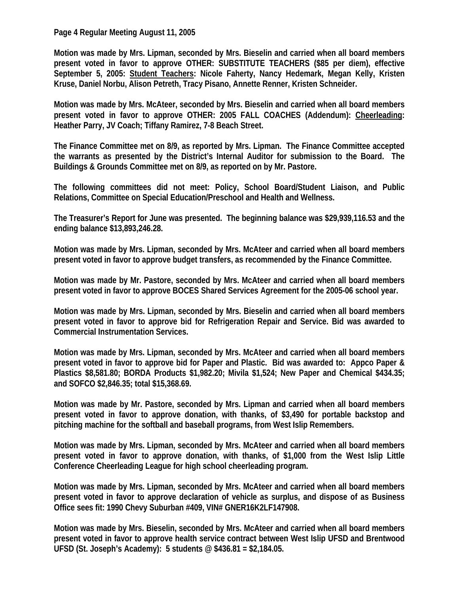**Page 4 Regular Meeting August 11, 2005** 

**Motion was made by Mrs. Lipman, seconded by Mrs. Bieselin and carried when all board members present voted in favor to approve OTHER: SUBSTITUTE TEACHERS (\$85 per diem), effective September 5, 2005: Student Teachers: Nicole Faherty, Nancy Hedemark, Megan Kelly, Kristen Kruse, Daniel Norbu, Alison Petreth, Tracy Pisano, Annette Renner, Kristen Schneider.** 

**Motion was made by Mrs. McAteer, seconded by Mrs. Bieselin and carried when all board members present voted in favor to approve OTHER: 2005 FALL COACHES (Addendum): Cheerleading: Heather Parry, JV Coach; Tiffany Ramirez, 7-8 Beach Street.** 

**The Finance Committee met on 8/9, as reported by Mrs. Lipman. The Finance Committee accepted the warrants as presented by the District's Internal Auditor for submission to the Board. The Buildings & Grounds Committee met on 8/9, as reported on by Mr. Pastore.** 

**The following committees did not meet: Policy, School Board/Student Liaison, and Public Relations, Committee on Special Education/Preschool and Health and Wellness.** 

**The Treasurer's Report for June was presented. The beginning balance was \$29,939,116.53 and the ending balance \$13,893,246.28.** 

**Motion was made by Mrs. Lipman, seconded by Mrs. McAteer and carried when all board members present voted in favor to approve budget transfers, as recommended by the Finance Committee.** 

**Motion was made by Mr. Pastore, seconded by Mrs. McAteer and carried when all board members present voted in favor to approve BOCES Shared Services Agreement for the 2005-06 school year.** 

**Motion was made by Mrs. Lipman, seconded by Mrs. Bieselin and carried when all board members present voted in favor to approve bid for Refrigeration Repair and Service. Bid was awarded to Commercial Instrumentation Services.** 

**Motion was made by Mrs. Lipman, seconded by Mrs. McAteer and carried when all board members present voted in favor to approve bid for Paper and Plastic. Bid was awarded to: Appco Paper & Plastics \$8,581.80; BORDA Products \$1,982.20; Mivila \$1,524; New Paper and Chemical \$434.35; and SOFCO \$2,846.35; total \$15,368.69.** 

**Motion was made by Mr. Pastore, seconded by Mrs. Lipman and carried when all board members present voted in favor to approve donation, with thanks, of \$3,490 for portable backstop and pitching machine for the softball and baseball programs, from West Islip Remembers.** 

**Motion was made by Mrs. Lipman, seconded by Mrs. McAteer and carried when all board members present voted in favor to approve donation, with thanks, of \$1,000 from the West Islip Little Conference Cheerleading League for high school cheerleading program.** 

**Motion was made by Mrs. Lipman, seconded by Mrs. McAteer and carried when all board members present voted in favor to approve declaration of vehicle as surplus, and dispose of as Business Office sees fit: 1990 Chevy Suburban #409, VIN# GNER16K2LF147908.** 

**Motion was made by Mrs. Bieselin, seconded by Mrs. McAteer and carried when all board members present voted in favor to approve health service contract between West Islip UFSD and Brentwood UFSD (St. Joseph's Academy): 5 students @ \$436.81 = \$2,184.05.**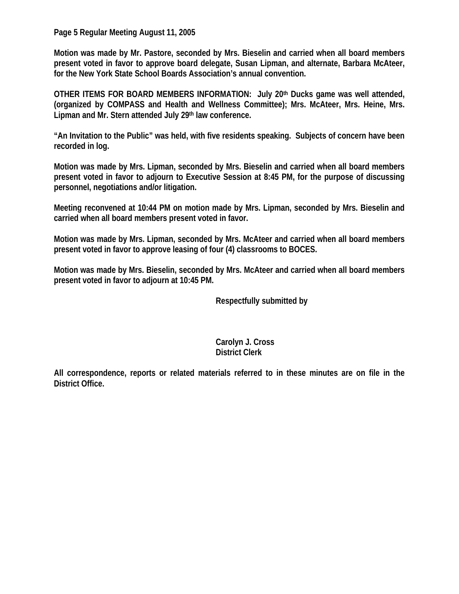**Page 5 Regular Meeting August 11, 2005** 

**Motion was made by Mr. Pastore, seconded by Mrs. Bieselin and carried when all board members present voted in favor to approve board delegate, Susan Lipman, and alternate, Barbara McAteer, for the New York State School Boards Association's annual convention.** 

**OTHER ITEMS FOR BOARD MEMBERS INFORMATION: July 20th Ducks game was well attended, (organized by COMPASS and Health and Wellness Committee); Mrs. McAteer, Mrs. Heine, Mrs. Lipman and Mr. Stern attended July 29th law conference.** 

**"An Invitation to the Public" was held, with five residents speaking. Subjects of concern have been recorded in log.** 

**Motion was made by Mrs. Lipman, seconded by Mrs. Bieselin and carried when all board members present voted in favor to adjourn to Executive Session at 8:45 PM, for the purpose of discussing personnel, negotiations and/or litigation.** 

**Meeting reconvened at 10:44 PM on motion made by Mrs. Lipman, seconded by Mrs. Bieselin and carried when all board members present voted in favor.** 

**Motion was made by Mrs. Lipman, seconded by Mrs. McAteer and carried when all board members present voted in favor to approve leasing of four (4) classrooms to BOCES.** 

**Motion was made by Mrs. Bieselin, seconded by Mrs. McAteer and carried when all board members present voted in favor to adjourn at 10:45 PM.** 

 **Respectfully submitted by** 

## **Carolyn J. Cross District Clerk**

**All correspondence, reports or related materials referred to in these minutes are on file in the District Office.**